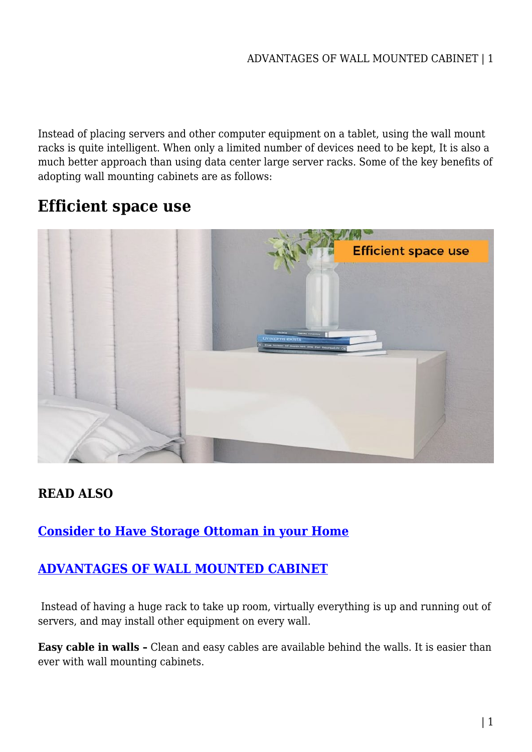Instead of placing servers and other computer equipment on a tablet, using the wall mount racks is quite intelligent. When only a limited number of devices need to be kept, It is also a much better approach than using data center large server racks. Some of the key benefits of adopting wall mounting cabinets are as follows:

# **Efficient space use**



## **READ ALSO**

### **[Consider to Have Storage Ottoman in your Home](https://power-battery.com.au/consider-to-have-storage-ottoman-in-your-home/)**

### **[ADVANTAGES OF WALL MOUNTED CABINET](https://power-battery.com.au/advantages-of-wall-mounted-cabinet/)**

 Instead of having a huge rack to take up room, virtually everything is up and running out of servers, and may install other equipment on every wall.

**Easy cable in walls –** Clean and easy cables are available behind the walls. It is easier than ever with wall mounting cabinets.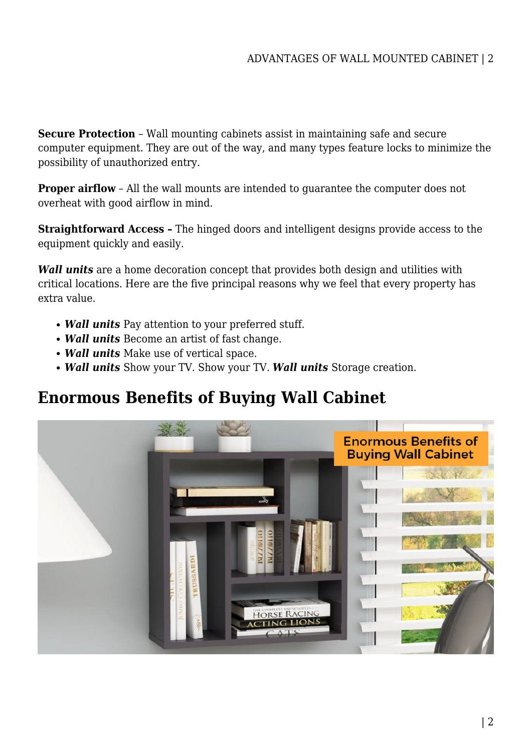**Secure Protection** – Wall mounting cabinets assist in maintaining safe and secure computer equipment. They are out of the way, and many types feature locks to minimize the possibility of unauthorized entry.

**Proper airflow** – All the wall mounts are intended to guarantee the computer does not overheat with good airflow in mind.

**Straightforward Access –** The hinged doors and intelligent designs provide access to the equipment quickly and easily.

*Wall units* are a home decoration concept that provides both design and utilities with critical locations. Here are the five principal reasons why we feel that every property has extra value.

- *Wall units* Pay attention to your preferred stuff.
- *Wall units* Become an artist of fast change.
- *Wall units* Make use of vertical space.
- *Wall units* Show your TV. Show your TV. *Wall units* Storage creation.

# **Enormous Benefits of Buying Wall Cabinet**

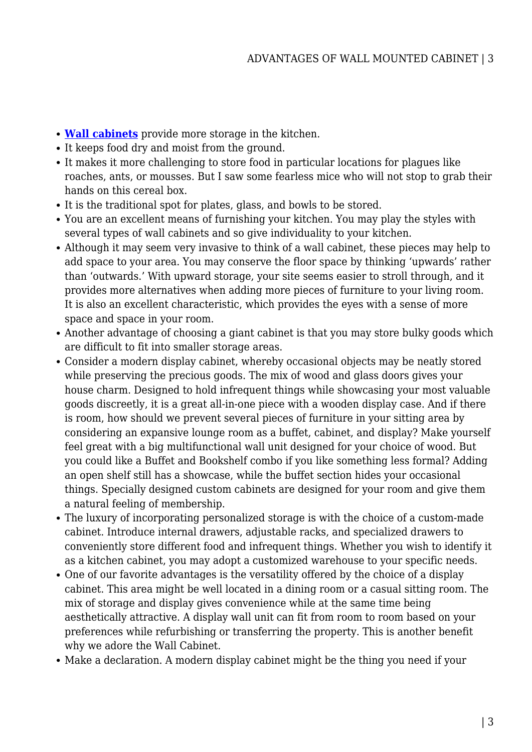- **[Wall cabinets](https://furnitureoffers.com.au/cabinets-storage/wall-mounted-cabinet/)** provide more storage in the kitchen.
- It keeps food dry and moist from the ground.
- It makes it more challenging to store food in particular locations for plagues like roaches, ants, or mousses. But I saw some fearless mice who will not stop to grab their hands on this cereal box.
- It is the traditional spot for plates, glass, and bowls to be stored.
- You are an excellent means of furnishing your kitchen. You may play the styles with several types of wall cabinets and so give individuality to your kitchen.
- Although it may seem very invasive to think of a wall cabinet, these pieces may help to add space to your area. You may conserve the floor space by thinking 'upwards' rather than 'outwards.' With upward storage, your site seems easier to stroll through, and it provides more alternatives when adding more pieces of furniture to your living room. It is also an excellent characteristic, which provides the eyes with a sense of more space and space in your room.
- Another advantage of choosing a giant cabinet is that you may store bulky goods which are difficult to fit into smaller storage areas.
- Consider a modern display cabinet, whereby occasional objects may be neatly stored while preserving the precious goods. The mix of wood and glass doors gives your house charm. Designed to hold infrequent things while showcasing your most valuable goods discreetly, it is a great all-in-one piece with a wooden display case. And if there is room, how should we prevent several pieces of furniture in your sitting area by considering an expansive lounge room as a buffet, cabinet, and display? Make yourself feel great with a big multifunctional wall unit designed for your choice of wood. But you could like a Buffet and Bookshelf combo if you like something less formal? Adding an open shelf still has a showcase, while the buffet section hides your occasional things. Specially designed custom cabinets are designed for your room and give them a natural feeling of membership.
- The luxury of incorporating personalized storage is with the choice of a custom-made cabinet. Introduce internal drawers, adjustable racks, and specialized drawers to conveniently store different food and infrequent things. Whether you wish to identify it as a kitchen cabinet, you may adopt a customized warehouse to your specific needs.
- One of our favorite advantages is the versatility offered by the choice of a display cabinet. This area might be well located in a dining room or a casual sitting room. The mix of storage and display gives convenience while at the same time being aesthetically attractive. A display wall unit can fit from room to room based on your preferences while refurbishing or transferring the property. This is another benefit why we adore the Wall Cabinet.
- Make a declaration. A modern display cabinet might be the thing you need if your